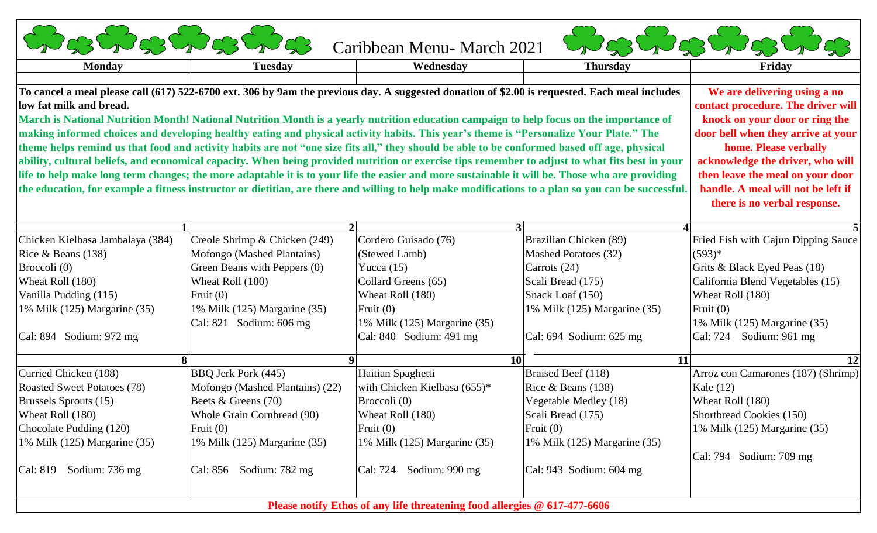| <b>Monday</b>                                                                                                                                   | <b>Tuesday</b>                                                                                                                          | Wednesday                        | <b>Thursday</b>                                                                                                                                    | Friday                                                             |
|-------------------------------------------------------------------------------------------------------------------------------------------------|-----------------------------------------------------------------------------------------------------------------------------------------|----------------------------------|----------------------------------------------------------------------------------------------------------------------------------------------------|--------------------------------------------------------------------|
|                                                                                                                                                 |                                                                                                                                         |                                  |                                                                                                                                                    |                                                                    |
| low fat milk and bread.                                                                                                                         |                                                                                                                                         |                                  | To cancel a meal please call (617) 522-6700 ext. 306 by 9am the previous day. A suggested donation of \$2.00 is requested. Each meal includes      | We are delivering using a no<br>contact procedure. The driver will |
|                                                                                                                                                 | March is National Nutrition Month! National Nutrition Month is a yearly nutrition education campaign to help focus on the importance of |                                  |                                                                                                                                                    | knock on your door or ring the                                     |
| making informed choices and developing healthy eating and physical activity habits. This year's theme is "Personalize Your Plate." The          | door bell when they arrive at your                                                                                                      |                                  |                                                                                                                                                    |                                                                    |
| theme helps remind us that food and activity habits are not "one size fits all," they should be able to be conformed based off age, physical    | home. Please verbally                                                                                                                   |                                  |                                                                                                                                                    |                                                                    |
| ability, cultural beliefs, and economical capacity. When being provided nutrition or exercise tips remember to adjust to what fits best in your | acknowledge the driver, who will                                                                                                        |                                  |                                                                                                                                                    |                                                                    |
| life to help make long term changes; the more adaptable it is to your life the easier and more sustainable it will be. Those who are providing  | then leave the meal on your door                                                                                                        |                                  |                                                                                                                                                    |                                                                    |
|                                                                                                                                                 |                                                                                                                                         |                                  | the education, for example a fitness instructor or dietitian, are there and willing to help make modifications to a plan so you can be successful. | handle. A meal will not be left if                                 |
|                                                                                                                                                 |                                                                                                                                         |                                  |                                                                                                                                                    | there is no verbal response.                                       |
|                                                                                                                                                 |                                                                                                                                         |                                  |                                                                                                                                                    |                                                                    |
|                                                                                                                                                 |                                                                                                                                         |                                  |                                                                                                                                                    |                                                                    |
| Chicken Kielbasa Jambalaya (384)                                                                                                                | Creole Shrimp & Chicken (249)                                                                                                           | Cordero Guisado (76)             | Brazilian Chicken (89)                                                                                                                             | Fried Fish with Cajun Dipping Sauce                                |
| Rice & Beans (138)                                                                                                                              | Mofongo (Mashed Plantains)                                                                                                              | (Stewed Lamb)                    | Mashed Potatoes (32)                                                                                                                               | $(593)*$                                                           |
| Broccoli (0)                                                                                                                                    | Green Beans with Peppers (0)                                                                                                            | Yucca $(15)$                     | Carrots $(24)$                                                                                                                                     | Grits & Black Eyed Peas (18)                                       |
| Wheat Roll (180)                                                                                                                                | Wheat Roll (180)                                                                                                                        | Collard Greens (65)              | Scali Bread (175)                                                                                                                                  | California Blend Vegetables (15)                                   |
| Vanilla Pudding (115)                                                                                                                           | Fruit $(0)$                                                                                                                             | Wheat Roll (180)                 | Snack Loaf (150)                                                                                                                                   | Wheat Roll (180)                                                   |
| 1% Milk (125) Margarine (35)                                                                                                                    | 1% Milk (125) Margarine (35)                                                                                                            | Fruit $(0)$                      | 1% Milk (125) Margarine (35)                                                                                                                       | Fruit $(0)$                                                        |
|                                                                                                                                                 | Cal: 821 Sodium: 606 mg                                                                                                                 | 1% Milk (125) Margarine (35)     |                                                                                                                                                    | 1% Milk (125) Margarine (35)                                       |
| Cal: 894 Sodium: 972 mg                                                                                                                         |                                                                                                                                         | Cal: 840 Sodium: 491 mg          | Cal: 694 Sodium: 625 mg                                                                                                                            | Cal: 724 Sodium: 961 mg                                            |
|                                                                                                                                                 |                                                                                                                                         |                                  | 10 <sup>1</sup><br><b>11</b>                                                                                                                       | 12                                                                 |
| Curried Chicken (188)                                                                                                                           | BBQ Jerk Pork (445)                                                                                                                     | Haitian Spaghetti                | Braised Beef (118)                                                                                                                                 | Arroz con Camarones (187) (Shrimp)                                 |
| <b>Roasted Sweet Potatoes (78)</b>                                                                                                              | Mofongo (Mashed Plantains) (22)                                                                                                         | with Chicken Kielbasa (655)*     | Rice & Beans (138)                                                                                                                                 | Kale (12)                                                          |
| Brussels Sprouts (15)                                                                                                                           | Beets & Greens (70)                                                                                                                     | Broccoli (0)                     | Vegetable Medley (18)                                                                                                                              | Wheat Roll (180)                                                   |
| Wheat Roll (180)                                                                                                                                | Whole Grain Cornbread (90)                                                                                                              | Wheat Roll (180)                 | Scali Bread (175)                                                                                                                                  | Shortbread Cookies (150)                                           |
|                                                                                                                                                 | Fruit $(0)$                                                                                                                             | Fruit $(0)$                      | Fruit $(0)$                                                                                                                                        | 1% Milk (125) Margarine (35)                                       |
|                                                                                                                                                 | 1% Milk (125) Margarine (35)                                                                                                            | 1% Milk $(125)$ Margarine $(35)$ | 1% Milk (125) Margarine (35)                                                                                                                       |                                                                    |
|                                                                                                                                                 |                                                                                                                                         |                                  |                                                                                                                                                    |                                                                    |
| Chocolate Pudding (120)<br>1% Milk (125) Margarine (35)                                                                                         |                                                                                                                                         |                                  |                                                                                                                                                    | Cal: 794 Sodium: 709 mg                                            |